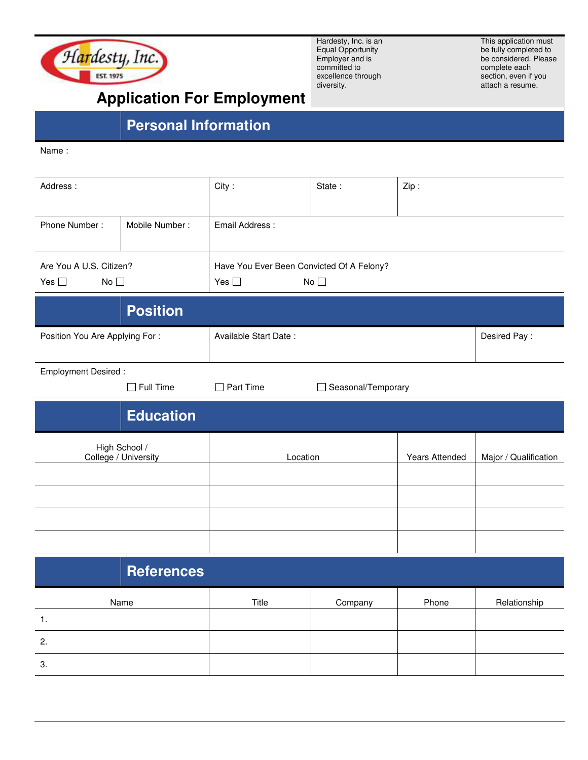

Hardesty, Inc. is an Equal Opportunity Employer and is committed to excellence through diversity.

This application must be fully completed to be considered. Please complete each section, even if you attach a resume.

## **Application For Employment**

## **Personal Information**

Name :

| Address:                                       |                  | City:                                                                      | State:               | Zip:           |                       |  |
|------------------------------------------------|------------------|----------------------------------------------------------------------------|----------------------|----------------|-----------------------|--|
| Phone Number:                                  | Mobile Number:   | Email Address:                                                             |                      |                |                       |  |
| Are You A U.S. Citizen?<br>No<br>Yes $\square$ |                  | Have You Ever Been Convicted Of A Felony?<br>No $\square$<br>Yes $\square$ |                      |                |                       |  |
|                                                | <b>Position</b>  |                                                                            |                      |                |                       |  |
| Position You Are Applying For:                 |                  | Available Start Date:                                                      |                      |                | Desired Pay:          |  |
| <b>Employment Desired:</b>                     | $\Box$ Full Time | $\Box$ Part Time                                                           | □ Seasonal/Temporary |                |                       |  |
|                                                | <b>Education</b> |                                                                            |                      |                |                       |  |
| High School /<br>College / University          |                  | Location                                                                   |                      | Years Attended | Major / Qualification |  |
|                                                |                  |                                                                            |                      |                |                       |  |
|                                                |                  |                                                                            |                      |                |                       |  |
|                                                |                  |                                                                            |                      |                |                       |  |
| <b>References</b>                              |                  |                                                                            |                      |                |                       |  |
| Name                                           |                  | Title                                                                      | Company              | Phone          | Relationship          |  |
| 1.                                             |                  |                                                                            |                      |                |                       |  |
| 2.                                             |                  |                                                                            |                      |                |                       |  |
| 3.                                             |                  |                                                                            |                      |                |                       |  |